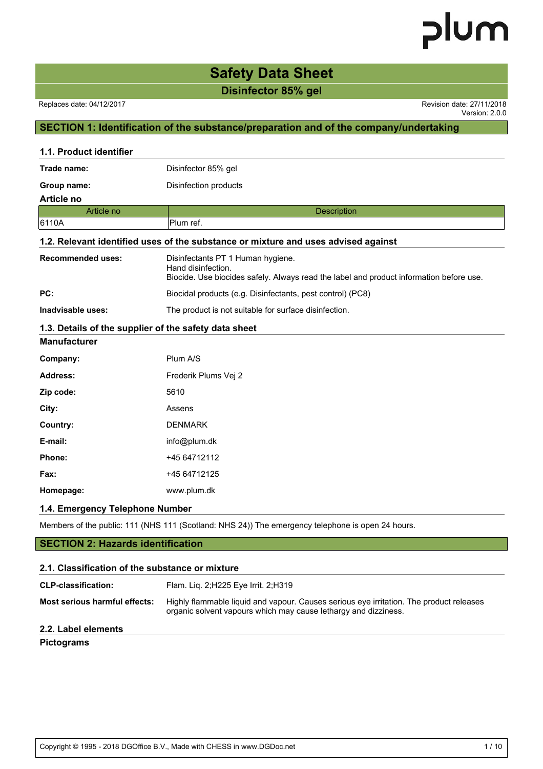### **Safety Data Sheet**

**Disinfector 85% gel**

#### Replaces date: 04/12/2017 Revision date: 27/11/2018

Version: 2.0.0

### **SECTION 1: Identification of the substance/preparation and of the company/undertaking**

| 1.1. Product identifier                               |                                                                                                                                                    |
|-------------------------------------------------------|----------------------------------------------------------------------------------------------------------------------------------------------------|
| Trade name:                                           | Disinfector 85% gel                                                                                                                                |
| Group name:                                           | Disinfection products                                                                                                                              |
| <b>Article no</b>                                     |                                                                                                                                                    |
| Article no                                            | <b>Description</b>                                                                                                                                 |
| 6110A                                                 | Plum ref.                                                                                                                                          |
|                                                       | 1.2. Relevant identified uses of the substance or mixture and uses advised against                                                                 |
| <b>Recommended uses:</b>                              | Disinfectants PT 1 Human hygiene.<br>Hand disinfection.<br>Biocide. Use biocides safely. Always read the label and product information before use. |
| PC:                                                   | Biocidal products (e.g. Disinfectants, pest control) (PC8)                                                                                         |
| Inadvisable uses:                                     | The product is not suitable for surface disinfection.                                                                                              |
| 1.3. Details of the supplier of the safety data sheet |                                                                                                                                                    |
| <b>Manufacturer</b>                                   |                                                                                                                                                    |
| Company:                                              | Plum A/S                                                                                                                                           |
| Address:                                              | Frederik Plums Vej 2                                                                                                                               |
| Zip code:                                             | 5610                                                                                                                                               |
| City:                                                 | Assens                                                                                                                                             |
| Country:                                              | <b>DENMARK</b>                                                                                                                                     |
| E-mail:                                               | info@plum.dk                                                                                                                                       |
| Phone:                                                | +45 64712112                                                                                                                                       |
| Fax:                                                  | +45 64712125                                                                                                                                       |
| Homepage:                                             | www.plum.dk                                                                                                                                        |
| 1.4. Emergency Telephone Number                       |                                                                                                                                                    |
|                                                       | Members of the public: 111 (NHS 111 (Scotland: NHS 24)) The emergency telephone is open 24 hours.                                                  |
| <b>SECTION 2: Hazards identification</b>              |                                                                                                                                                    |
| 2.1. Classification of the substance or mixture       |                                                                                                                                                    |

| <b>CLP-classification:</b>    | Flam. Lig. 2; H225 Eye Irrit. 2; H319                                                                                                                      |
|-------------------------------|------------------------------------------------------------------------------------------------------------------------------------------------------------|
| Most serious harmful effects: | Highly flammable liquid and vapour. Causes serious eye irritation. The product releases<br>organic solvent vapours which may cause lethargy and dizziness. |
| 2.2. Label elements           |                                                                                                                                                            |

#### **Pictograms**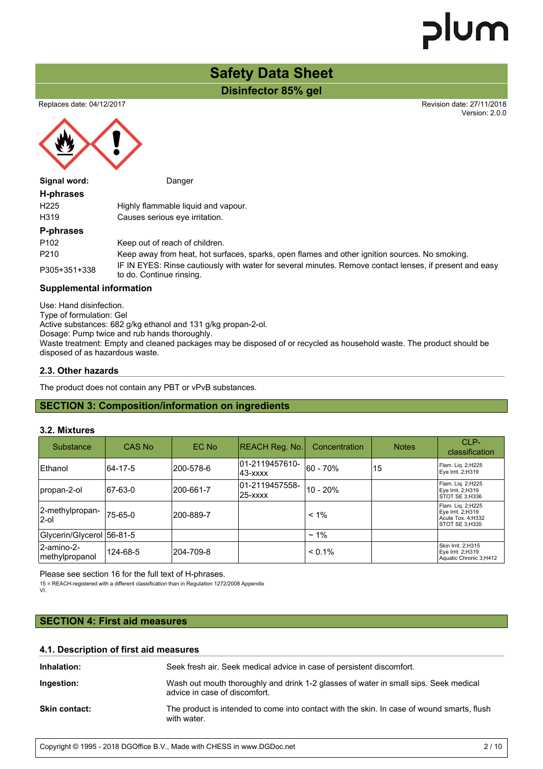Version: 2.0.0

### **Safety Data Sheet**

**Disinfector 85% gel**

Replaces date: 04/12/2017 Revision date: 27/11/2018

Signal word: Danger

#### **H-phrases**

| н-ринаэсэ   |                                     |
|-------------|-------------------------------------|
| H225        | Highly flammable liquid and vapour. |
| H319        | Causes serious eve irritation.      |
| P-phrases   |                                     |
| P102        | Keep out of reach of children.      |
| <b>D210</b> | Keen away from heat hot surfaces    |

P210 Keep away from heat, hot surfaces, sparks, open flames and other ignition sources. No smoking. P305+351+338 IF IN EYES: Rinse cautiously with water for several minutes. Remove contact lenses, if present and easy to do. Continue rinsing.

#### **Supplemental information**

Use: Hand disinfection. Type of formulation: Gel Active substances: 682 g/kg ethanol and 131 g/kg propan-2-ol. Dosage: Pump twice and rub hands thoroughly. Waste treatment: Empty and cleaned packages may be disposed of or recycled as household waste. The product should be disposed of as hazardous waste.

#### **2.3. Other hazards**

The product does not contain any PBT or vPvB substances.

#### **SECTION 3: Composition/information on ingredients**

#### **3.2. Mixtures**

| Substance                    | CAS No   | EC No     | <b>REACH Reg. No.</b>        | Concentration | <b>Notes</b> | $CI$ P-<br>classification                                                      |
|------------------------------|----------|-----------|------------------------------|---------------|--------------|--------------------------------------------------------------------------------|
| Ethanol                      | 64-17-5  | 200-578-6 | 01-2119457610-<br>143-xxxx   | 60 - 70%      | 15           | Flam. Lig. 2;H225<br>Eye Irrit. 2;H319                                         |
| propan-2-ol                  | 67-63-0  | 200-661-7 | 01-2119457558-<br>$25  xxxx$ | $10 - 20%$    |              | Flam. Lig. 2;H225<br>Eye Irrit. 2;H319<br>STOT SE 3:H336                       |
| 2-methylpropan-<br>l2-ol     | 75-65-0  | 200-889-7 |                              | $< 1\%$       |              | Flam. Lig. 2;H225<br>Eye Irrit. 2;H319<br>Acute Tox. 4; H332<br>STOT SE 3:H335 |
| Glycerin/Glycerol 56-81-5    |          |           |                              | $~1\%$        |              |                                                                                |
| 2-amino-2-<br>methylpropanol | 124-68-5 | 204-709-8 |                              | $< 0.1\%$     |              | Skin Irrit. 2;H315<br>Eye Irrit. 2;H319<br>Aquatic Chronic 3;H412              |

Please see section 16 for the full text of H-phrases.

15 = REACH-registered with a different classification than in Regulation 1272/2008 Appendix VI.

#### **SECTION 4: First aid measures**

| 4.1. Description of first aid measures |  |  |
|----------------------------------------|--|--|
|                                        |  |  |

| Inhalation:          | Seek fresh air. Seek medical advice in case of persistent discomfort.                                                 |
|----------------------|-----------------------------------------------------------------------------------------------------------------------|
| Ingestion:           | Wash out mouth thoroughly and drink 1-2 glasses of water in small sips. Seek medical<br>advice in case of discomfort. |
| <b>Skin contact:</b> | The product is intended to come into contact with the skin. In case of wound smarts, flush<br>with water.             |

Copyright © 1995 - 2018 DGOffice B.V., Made with CHESS in www.DGDoc.net 2/10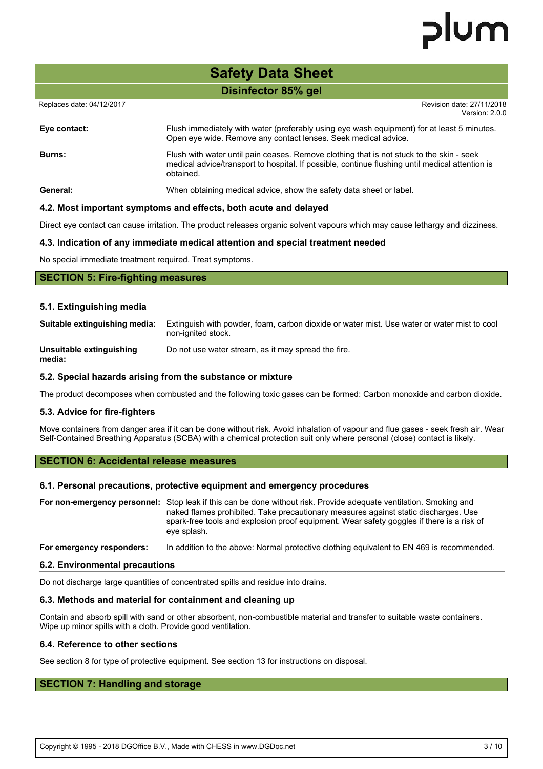### **Safety Data Sheet**

**Disinfector 85% gel**

Replaces date: 04/12/2017 **Replaces** date: 27/11/2018

Version: 2.0.0

| Eye contact:  | Flush immediately with water (preferably using eye wash equipment) for at least 5 minutes.<br>Open eye wide. Remove any contact lenses. Seek medical advice.                                             |
|---------------|----------------------------------------------------------------------------------------------------------------------------------------------------------------------------------------------------------|
| <b>Burns:</b> | Flush with water until pain ceases. Remove clothing that is not stuck to the skin - seek<br>medical advice/transport to hospital. If possible, continue flushing until medical attention is<br>obtained. |
| General:      | When obtaining medical advice, show the safety data sheet or label.                                                                                                                                      |

#### **4.2. Most important symptoms and effects, both acute and delayed**

Direct eye contact can cause irritation. The product releases organic solvent vapours which may cause lethargy and dizziness.

#### **4.3. Indication of any immediate medical attention and special treatment needed**

No special immediate treatment required. Treat symptoms.

#### **SECTION 5: Fire-fighting measures**

#### **5.1. Extinguishing media**

| Suitable extinguishing media:      | Extinguish with powder, foam, carbon dioxide or water mist. Use water or water mist to cool<br>non-ignited stock. |
|------------------------------------|-------------------------------------------------------------------------------------------------------------------|
| Unsuitable extinguishing<br>media: | Do not use water stream, as it may spread the fire.                                                               |

#### **5.2. Special hazards arising from the substance or mixture**

The product decomposes when combusted and the following toxic gases can be formed: Carbon monoxide and carbon dioxide.

#### **5.3. Advice for fire-fighters**

Move containers from danger area if it can be done without risk. Avoid inhalation of vapour and flue gases - seek fresh air. Wear Self-Contained Breathing Apparatus (SCBA) with a chemical protection suit only where personal (close) contact is likely.

#### **SECTION 6: Accidental release measures**

#### **6.1. Personal precautions, protective equipment and emergency procedures**

**For non-emergency personnel:** Stop leak if this can be done without risk. Provide adequate ventilation. Smoking and naked flames prohibited. Take precautionary measures against static discharges. Use spark-free tools and explosion proof equipment. Wear safety goggles if there is a risk of eye splash.

**For emergency responders:** In addition to the above: Normal protective clothing equivalent to EN 469 is recommended.

#### **6.2. Environmental precautions**

Do not discharge large quantities of concentrated spills and residue into drains.

#### **6.3. Methods and material for containment and cleaning up**

Contain and absorb spill with sand or other absorbent, non-combustible material and transfer to suitable waste containers. Wipe up minor spills with a cloth. Provide good ventilation.

#### **6.4. Reference to other sections**

See section 8 for type of protective equipment. See section 13 for instructions on disposal.

#### **SECTION 7: Handling and storage**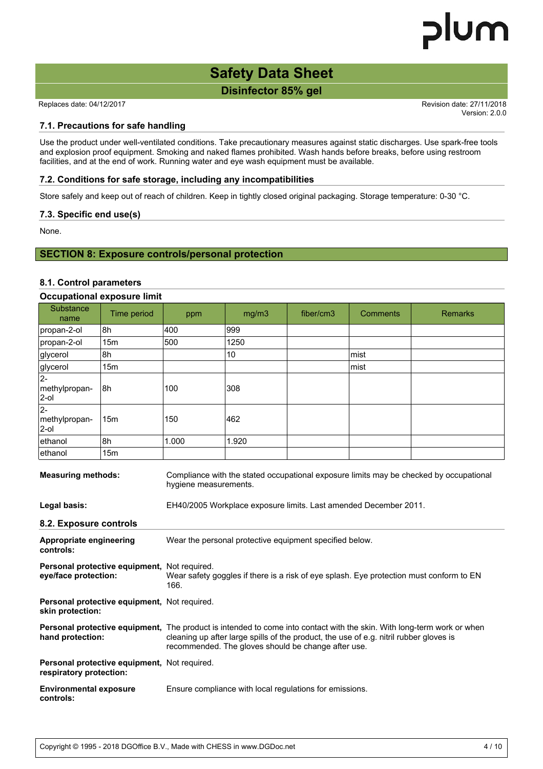### **Safety Data Sheet**

**Disinfector 85% gel**

Replaces date: 04/12/2017 **Replaces** date: 27/11/2018

Version: 2.0.0

#### **7.1. Precautions for safe handling**

Use the product under well-ventilated conditions. Take precautionary measures against static discharges. Use spark-free tools and explosion proof equipment. Smoking and naked flames prohibited. Wash hands before breaks, before using restroom facilities, and at the end of work. Running water and eye wash equipment must be available.

#### **7.2. Conditions for safe storage, including any incompatibilities**

Store safely and keep out of reach of children. Keep in tightly closed original packaging. Storage temperature: 0-30 °C.

#### **7.3. Specific end use(s)**

None.

#### **SECTION 8: Exposure controls/personal protection**

#### **8.1. Control parameters**

|             |       | <b>Occupational exposure limit</b> |           |                 |                |  |  |  |  |
|-------------|-------|------------------------------------|-----------|-----------------|----------------|--|--|--|--|
| Time period | ppm   | mg/m3                              | fiber/cm3 | <b>Comments</b> | <b>Remarks</b> |  |  |  |  |
| 8h          |       | 999                                |           |                 |                |  |  |  |  |
| 15m         |       | 1250                               |           |                 |                |  |  |  |  |
| l8h         |       | 10                                 |           | mist            |                |  |  |  |  |
| 15m         |       |                                    |           | mist            |                |  |  |  |  |
| 8h          | 100   | 308                                |           |                 |                |  |  |  |  |
| 15m         | 150   |                                    |           |                 |                |  |  |  |  |
| l8h         | 1.000 | 1.920                              |           |                 |                |  |  |  |  |
| 15m         |       |                                    |           |                 |                |  |  |  |  |
|             |       | 400<br>500                         | 462       |                 |                |  |  |  |  |

**Measuring methods:** Compliance with the stated occupational exposure limits may be checked by occupational hygiene measurements. **Legal basis:** EH40/2005 Workplace exposure limits. Last amended December 2011. **8.2. Exposure controls Appropriate engineering controls:** Wear the personal protective equipment specified below. **Personal protective equipment,** Not required. **eye/face protection:** Wear safety goggles if there is a risk of eye splash. Eye protection must conform to EN 166. **Personal protective equipment,** Not required. **skin protection:** Personal protective equipment, The product is intended to come into contact with the skin. With long-term work or when **hand protection:** cleaning up after large spills of the product, the use of e.g. nitril rubber gloves is recommended. The gloves should be change after use. **Personal protective equipment,** Not required. **respiratory protection: Environmental exposure controls:** Ensure compliance with local regulations for emissions.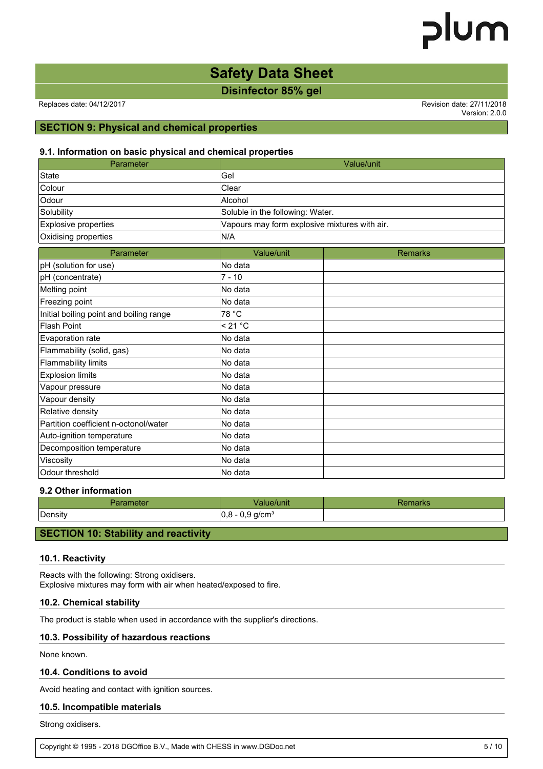### **Safety Data Sheet**

**Disinfector 85% gel**

Replaces date: 04/12/2017 **Replaces** date: 27/11/2018

Version: 2.0.0

#### **SECTION 9: Physical and chemical properties**

#### **9.1. Information on basic physical and chemical properties**

| Parameter                               | Value/unit                                    |                |  |  |
|-----------------------------------------|-----------------------------------------------|----------------|--|--|
| <b>State</b>                            | Gel                                           |                |  |  |
| Colour                                  | Clear                                         |                |  |  |
| Odour                                   | Alcohol                                       |                |  |  |
| Solubility                              | Soluble in the following: Water.              |                |  |  |
| Explosive properties                    | Vapours may form explosive mixtures with air. |                |  |  |
| Oxidising properties                    | N/A                                           |                |  |  |
| Parameter                               | Value/unit                                    | <b>Remarks</b> |  |  |
| pH (solution for use)                   | No data                                       |                |  |  |
| pH (concentrate)                        | $7 - 10$                                      |                |  |  |
| Melting point                           | No data                                       |                |  |  |
| Freezing point                          | No data                                       |                |  |  |
| Initial boiling point and boiling range | 78 °C                                         |                |  |  |
| <b>Flash Point</b>                      | < 21 °C                                       |                |  |  |
| Evaporation rate                        | No data                                       |                |  |  |
| Flammability (solid, gas)               | No data                                       |                |  |  |
| <b>Flammability limits</b>              | No data                                       |                |  |  |
| <b>Explosion limits</b>                 | No data                                       |                |  |  |
| Vapour pressure                         | No data                                       |                |  |  |
| Vapour density                          | No data                                       |                |  |  |
| Relative density                        | No data                                       |                |  |  |
| Partition coefficient n-octonol/water   | No data                                       |                |  |  |
| Auto-ignition temperature               | No data                                       |                |  |  |
| Decomposition temperature               | No data                                       |                |  |  |
| Viscosity                               | No data                                       |                |  |  |
| Odour threshold                         | No data                                       |                |  |  |

#### **9.2 Other information**

|               | .                             |  |
|---------------|-------------------------------|--|
| Density<br>10 | -<br>g/cm <sup>3</sup><br>. . |  |

#### **SECTION 10: Stability and reactivity**

#### **10.1. Reactivity**

Reacts with the following: Strong oxidisers. Explosive mixtures may form with air when heated/exposed to fire.

#### **10.2. Chemical stability**

The product is stable when used in accordance with the supplier's directions.

#### **10.3. Possibility of hazardous reactions**

None known.

#### **10.4. Conditions to avoid**

Avoid heating and contact with ignition sources.

#### **10.5. Incompatible materials**

Strong oxidisers.

Copyright © 1995 - 2018 DGOffice B.V., Made with CHESS in www.DGDoc.net 5/10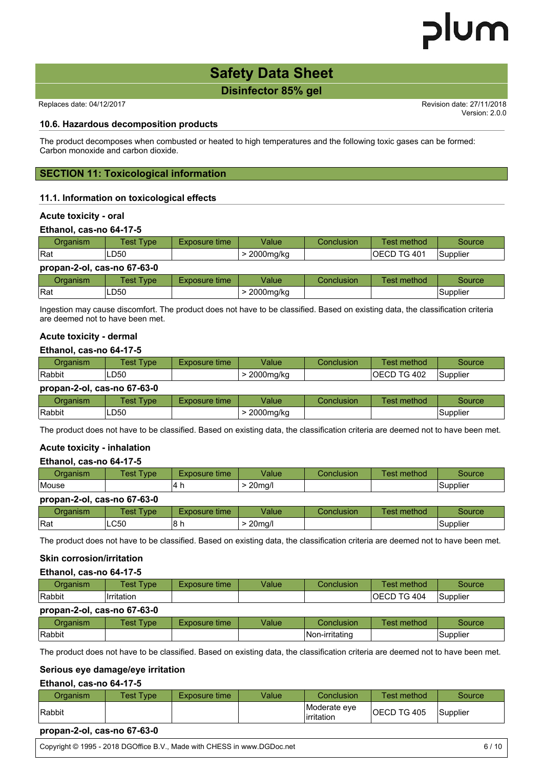Version: 2.0.0

### **Safety Data Sheet**

**Disinfector 85% gel**

Replaces date: 04/12/2017 Revision date: 27/11/2018

**10.6. Hazardous decomposition products**

The product decomposes when combusted or heated to high temperatures and the following toxic gases can be formed: Carbon monoxide and carbon dioxide.

#### **SECTION 11: Toxicological information**

#### **11.1. Information on toxicological effects**

#### **Acute toxicity - oral**

#### **Ethanol, cas-no 64-17-5**

| Organism                    | <b>Test Type</b> | <b>Exposure time</b> | Value       | Conclusion | Test method         | Source   |
|-----------------------------|------------------|----------------------|-------------|------------|---------------------|----------|
| <b>IRat</b>                 | LD50             |                      | > 2000mg/kg |            | <b>IOECD TG 401</b> | Supplier |
| propan-2-ol, cas-no 67-63-0 |                  |                      |             |            |                     |          |
| Organism                    | <b>Test Type</b> | Exposure time        | Value       | Conclusion | Test method         | Source   |
| <b>IRat</b>                 | LD50             |                      | > 2000mg/kg |            |                     | Supplier |

Ingestion may cause discomfort. The product does not have to be classified. Based on existing data, the classification criteria are deemed not to have been met.

#### **Acute toxicity - dermal**

#### **Ethanol, cas-no 64-17-5**

| Organism                    | Test Type        | Exposure time | Value       | Conclusion | Test method  | Source   |  |  |
|-----------------------------|------------------|---------------|-------------|------------|--------------|----------|--|--|
| Rabbit                      | LD50             |               | > 2000mg/kg |            | IOECD TG 402 | Supplier |  |  |
| propan-2-ol, cas-no 67-63-0 |                  |               |             |            |              |          |  |  |
| Organism                    | <b>Test Type</b> | Exposure time | Value       | Conclusion | Test method  | Source   |  |  |
| Rabbit                      | LD50             |               | > 2000mg/kg |            |              | Supplier |  |  |

The product does not have to be classified. Based on existing data, the classification criteria are deemed not to have been met.

#### **Acute toxicity - inhalation**

#### **Ethanol, cas-no 64-17-5**

| Organism                    | Test Type        | <b>Exposure time</b> | Value         | <b>Conclusion</b> | Test method | Source   |  |  |
|-----------------------------|------------------|----------------------|---------------|-------------------|-------------|----------|--|--|
| Mouse                       |                  | 14 h                 | $>$ 20 $mq/l$ |                   |             | Supplier |  |  |
| propan-2-ol, cas-no 67-63-0 |                  |                      |               |                   |             |          |  |  |
| Organism                    | <b>Test Type</b> | <b>Exposure time</b> | Value         | <b>Conclusion</b> | Test method | Source   |  |  |
| <b>IRat</b>                 | <b>LC50</b>      | l8 h                 | $>$ 20mg/l    |                   |             | Supplier |  |  |

The product does not have to be classified. Based on existing data, the classification criteria are deemed not to have been met.

#### **Skin corrosion/irritation**

#### **Ethanol, cas-no 64-17-5**

| Organism                    | Test Type   | Exposure time | Value | <b>Conclusion</b> | Test method         | Source   |  |  |  |
|-----------------------------|-------------|---------------|-------|-------------------|---------------------|----------|--|--|--|
| Rabbit                      | Ilrritation |               |       |                   | <b>IOECD TG 404</b> | Supplier |  |  |  |
| propan-2-ol, cas-no 67-63-0 |             |               |       |                   |                     |          |  |  |  |
| Organism                    | Test Type   | Exposure time | Value | Conclusion        | Test method         | Source   |  |  |  |
| Rabbit                      |             |               |       | Non-irritating    |                     | Supplier |  |  |  |

The product does not have to be classified. Based on existing data, the classification criteria are deemed not to have been met.

#### **Serious eye damage/eye irritation**

#### **Ethanol, cas-no 64-17-5**

| Organism | Test Type i | Exposure time | Value | Conclusion                  | Геst method         | Source   |
|----------|-------------|---------------|-------|-----------------------------|---------------------|----------|
| Rabbit   |             |               |       | Moderate eve<br>lirritation | <b>IOECD TG 405</b> | Supplier |

#### **propan-2-ol, cas-no 67-63-0**

Copyright © 1995 - 2018 DGOffice B.V., Made with CHESS in www.DGDoc.net 6/10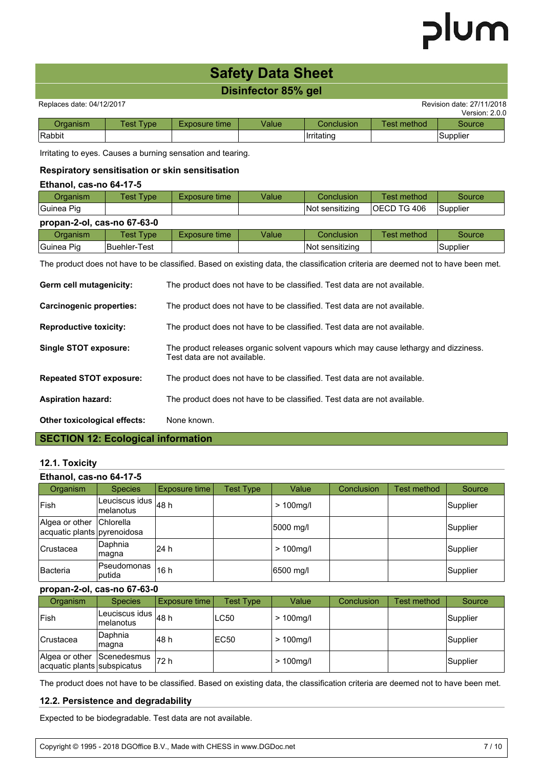### **Safety Data Sheet**

#### **Disinfector 85% gel**

Replaces date: 04/12/2017 **Replaces** date: 27/11/2018

|          |            |               |       |            |             | 2.0.0<br>Version: |
|----------|------------|---------------|-------|------------|-------------|-------------------|
| )rɑanism | Fest Type. | Exposure time | Value | Conclusion | Геst method | <b>Source</b>     |
| Rabbit   |            |               |       | Irritating |             | Supplier          |

Irritating to eyes. Causes a burning sensation and tearing.

#### **Respiratory sensitisation or skin sensitisation**

#### **Ethanol, cas-no 64-17-5**

| Organism                    | Test Type        | <b>Exposure time</b> | Value | <b>Conclusion</b> | Test method        | Source          |  |  |  |
|-----------------------------|------------------|----------------------|-------|-------------------|--------------------|-----------------|--|--|--|
| Guinea Pig                  |                  |                      |       | Not sensitizing   | <b>OECD TG 406</b> | <b>Supplier</b> |  |  |  |
| propan-2-ol, cas-no 67-63-0 |                  |                      |       |                   |                    |                 |  |  |  |
| Organism                    | <b>Test Type</b> | Exposure time        | Value | Conclusion        | Test method        | Source          |  |  |  |
| Guinea Pig                  | Buehler-Test     |                      |       | Not sensitizing   |                    | Supplier        |  |  |  |

The product does not have to be classified. Based on existing data, the classification criteria are deemed not to have been met.

| Germ cell mutagenicity:                   | The product does not have to be classified. Test data are not available.                                             |  |  |  |
|-------------------------------------------|----------------------------------------------------------------------------------------------------------------------|--|--|--|
| Carcinogenic properties:                  | The product does not have to be classified. Test data are not available.                                             |  |  |  |
| <b>Reproductive toxicity:</b>             | The product does not have to be classified. Test data are not available.                                             |  |  |  |
| Single STOT exposure:                     | The product releases organic solvent vapours which may cause lethargy and dizziness.<br>Test data are not available. |  |  |  |
| <b>Repeated STOT exposure:</b>            | The product does not have to be classified. Test data are not available.                                             |  |  |  |
| <b>Aspiration hazard:</b>                 | The product does not have to be classified. Test data are not available.                                             |  |  |  |
| <b>Other toxicological effects:</b>       | None known.                                                                                                          |  |  |  |
| <b>SECTION 12: Ecological information</b> |                                                                                                                      |  |  |  |

#### **12.1. Toxicity**

| Ethanol, cas-no 64-17-5                                 |                                             |               |                  |              |                   |             |          |  |  |
|---------------------------------------------------------|---------------------------------------------|---------------|------------------|--------------|-------------------|-------------|----------|--|--|
| Organism                                                | <b>Species</b>                              | Exposure time | <b>Test Type</b> | Value        | <b>Conclusion</b> | Test method | Source   |  |  |
| <b>Fish</b>                                             | Leuciscus idus $\vert_{48}$ h<br>Imelanotus |               |                  | $> 100$ mg/l |                   |             | Supplier |  |  |
| Algea or other Chlorella<br>acquatic plants pyrenoidosa |                                             |               |                  | 5000 mg/l    |                   |             | Supplier |  |  |
| Crustacea                                               | Daphnia<br> magna                           | l24 h         |                  | $> 100$ mg/l |                   |             | Supplier |  |  |
| <b>Bacteria</b>                                         | Pseudomonas<br>putida                       | 16h           |                  | 6500 mg/l    |                   |             | Supplier |  |  |

#### **propan-2-ol, cas-no 67-63-0**

| Organism                                      | <b>Species</b>               | Exposure time     | <b>Test Type</b> | Value        | Conclusion | Test method | Source   |
|-----------------------------------------------|------------------------------|-------------------|------------------|--------------|------------|-------------|----------|
| Fish                                          | Leuciscus idus<br>Imelanotus | 48 h              | LC50             | $>100$ mg/l  |            |             | Supplier |
| <b>Crustacea</b>                              | Daphnia<br> magna            | l48 h             | EC50             | $>100$ mg/l  |            |             | Supplier |
| Algea or other<br>acquatic plants subspicatus | Scenedesmus                  | <sup>1</sup> 72 h |                  | $> 100$ mg/l |            |             | Supplier |

The product does not have to be classified. Based on existing data, the classification criteria are deemed not to have been met.

#### **12.2. Persistence and degradability**

Expected to be biodegradable. Test data are not available.

Copyright © 1995 - 2018 DGOffice B.V., Made with CHESS in www.DGDoc.net 7 / 10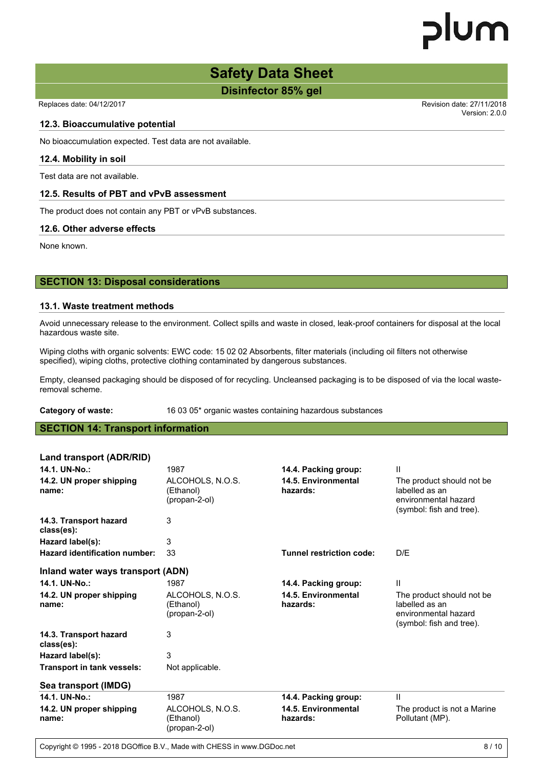Version: 2.0.0

### **Safety Data Sheet**

**Disinfector 85% gel**

Replaces date: 04/12/2017 Revision date: 27/11/2018

#### **12.3. Bioaccumulative potential**

No bioaccumulation expected. Test data are not available.

#### **12.4. Mobility in soil**

Test data are not available.

#### **12.5. Results of PBT and vPvB assessment**

The product does not contain any PBT or vPvB substances.

#### **12.6. Other adverse effects**

None known.

#### **SECTION 13: Disposal considerations**

#### **13.1. Waste treatment methods**

Avoid unnecessary release to the environment. Collect spills and waste in closed, leak-proof containers for disposal at the local hazardous waste site.

Wiping cloths with organic solvents: EWC code: 15 02 02 Absorbents, filter materials (including oil filters not otherwise specified), wiping cloths, protective clothing contaminated by dangerous substances.

Empty, cleansed packaging should be disposed of for recycling. Uncleansed packaging is to be disposed of via the local wasteremoval scheme.

#### **Category of waste:** 16 03 05\* organic wastes containing hazardous substances

#### **SECTION 14: Transport information**

| Land transport (ADR/RID)             |                                                |                                 |                                                                                                  |
|--------------------------------------|------------------------------------------------|---------------------------------|--------------------------------------------------------------------------------------------------|
| 14.1. UN-No.:                        | 1987                                           | 14.4. Packing group:            | Ш                                                                                                |
| 14.2. UN proper shipping<br>name:    | ALCOHOLS, N.O.S.<br>(Ethanol)<br>(propan-2-ol) | 14.5. Environmental<br>hazards: | The product should not be.<br>labelled as an<br>environmental hazard<br>(symbol: fish and tree). |
| 14.3. Transport hazard<br>class(es): | 3                                              |                                 |                                                                                                  |
| Hazard label(s):                     | 3                                              |                                 |                                                                                                  |
| Hazard identification number:        | 33                                             | Tunnel restriction code:        | D/E                                                                                              |
| Inland water ways transport (ADN)    |                                                |                                 |                                                                                                  |
| 14.1. UN-No.:                        | 1987                                           | 14.4. Packing group:            | $\mathbf{H}$                                                                                     |
| 14.2. UN proper shipping<br>name:    | ALCOHOLS, N.O.S.<br>(Ethanol)<br>(propan-2-ol) | 14.5. Environmental<br>hazards: | The product should not be.<br>labelled as an<br>environmental hazard<br>(symbol: fish and tree). |
| 14.3. Transport hazard<br>class(es): | 3                                              |                                 |                                                                                                  |
| Hazard label(s):                     | 3                                              |                                 |                                                                                                  |
| <b>Transport in tank vessels:</b>    | Not applicable.                                |                                 |                                                                                                  |
| Sea transport (IMDG)                 |                                                |                                 |                                                                                                  |
| 14.1. UN-No.:                        | 1987                                           | 14.4. Packing group:            | Ш                                                                                                |
| 14.2. UN proper shipping<br>name:    | ALCOHOLS, N.O.S.<br>(Ethanol)<br>(propan-2-ol) | 14.5. Environmental<br>hazards: | The product is not a Marine<br>Pollutant (MP).                                                   |

Copyright © 1995 - 2018 DGOffice B.V., Made with CHESS in www.DGDoc.net 8/10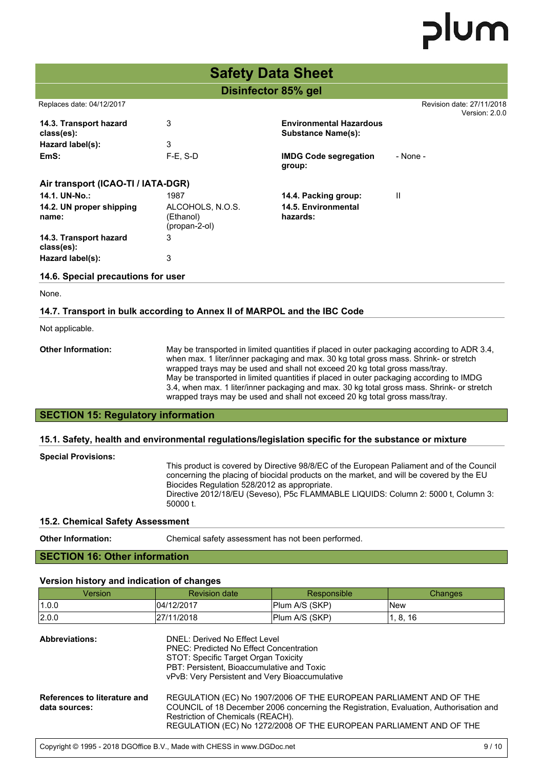|                                                                          | <b>Safety Data Sheet</b>                       |                                                             |                                             |  |  |  |  |
|--------------------------------------------------------------------------|------------------------------------------------|-------------------------------------------------------------|---------------------------------------------|--|--|--|--|
|                                                                          |                                                | Disinfector 85% gel                                         |                                             |  |  |  |  |
| Replaces date: 04/12/2017                                                |                                                |                                                             | Revision date: 27/11/2018<br>Version: 2.0.0 |  |  |  |  |
| 14.3. Transport hazard<br>class(es):                                     | 3                                              | <b>Environmental Hazardous</b><br><b>Substance Name(s):</b> |                                             |  |  |  |  |
| Hazard label(s):                                                         | 3                                              |                                                             |                                             |  |  |  |  |
| EmS:                                                                     | $F-E$ , S-D                                    | <b>IMDG Code segregation</b><br>group:                      | - None -                                    |  |  |  |  |
| Air transport (ICAO-TI / IATA-DGR)                                       |                                                |                                                             |                                             |  |  |  |  |
| 14.1. UN-No.:                                                            | 1987                                           | 14.4. Packing group:                                        | $\mathbf{H}$                                |  |  |  |  |
| 14.2. UN proper shipping<br>name:                                        | ALCOHOLS, N.O.S.<br>(Ethanol)<br>(propan-2-ol) | 14.5. Environmental<br>hazards:                             |                                             |  |  |  |  |
| 14.3. Transport hazard<br>class(es):                                     | 3                                              |                                                             |                                             |  |  |  |  |
| Hazard label(s):                                                         | 3                                              |                                                             |                                             |  |  |  |  |
| 14.6. Special precautions for user                                       |                                                |                                                             |                                             |  |  |  |  |
| None.                                                                    |                                                |                                                             |                                             |  |  |  |  |
| 14.7. Transport in bulk according to Annex II of MARPOL and the IBC Code |                                                |                                                             |                                             |  |  |  |  |

Not applicable.

**Other Information:** May be transported in limited quantities if placed in outer packaging according to ADR 3.4, when max. 1 liter/inner packaging and max. 30 kg total gross mass. Shrink- or stretch wrapped trays may be used and shall not exceed 20 kg total gross mass/tray. May be transported in limited quantities if placed in outer packaging according to IMDG 3.4, when max. 1 liter/inner packaging and max. 30 kg total gross mass. Shrink- or stretch wrapped trays may be used and shall not exceed 20 kg total gross mass/tray.

#### **SECTION 15: Regulatory information**

#### **15.1. Safety, health and environmental regulations/legislation specific for the substance or mixture**

#### **Special Provisions:**

This product is covered by Directive 98/8/EC of the European Paliament and of the Council concerning the placing of biocidal products on the market, and will be covered by the EU Biocides Regulation 528/2012 as appropriate. Directive 2012/18/EU (Seveso), P5c FLAMMABLE LIQUIDS: Column 2: 5000 t, Column 3: 50000 t.

COUNCIL of 16 December 2008 on classification, labelling and packaging of substances

#### **15.2. Chemical Safety Assessment**

**Other Information:** Chemical safety assessment has not been performed.

#### **SECTION 16: Other information**

#### **Version history and indication of changes**

| Version               | <b>Revision date</b>                                                                                                                                                  | Responsible    | Changes  |
|-----------------------|-----------------------------------------------------------------------------------------------------------------------------------------------------------------------|----------------|----------|
| 1.0.0                 | 104/12/2017                                                                                                                                                           | Plum A/S (SKP) | lNew     |
| 2.0.0                 | 27/11/2018                                                                                                                                                            | Plum A/S (SKP) | 1, 8, 16 |
| <b>Abbreviations:</b> | DNEL: Derived No Effect Level<br><b>PNEC: Predicted No Effect Concentration</b><br>STOT: Specific Target Organ Toxicity<br>DRT: Percistant, Riagocumulative and Texic |                |          |

PBT: Persistent, Bioaccumulative and Toxic vPvB: Very Persistent and Very Bioaccumulative

| References to literature and | REGULATION (EC) No 1907/2006 OF THE EUROPEAN PARLIAMENT AND OF THE                     |
|------------------------------|----------------------------------------------------------------------------------------|
| data sources:                | COUNCIL of 18 December 2006 concerning the Registration, Evaluation, Authorisation and |
|                              | Restriction of Chemicals (REACH).                                                      |
|                              | REGULATION (EC) No 1272/2008 OF THE EUROPEAN PARLIAMENT AND OF THE                     |